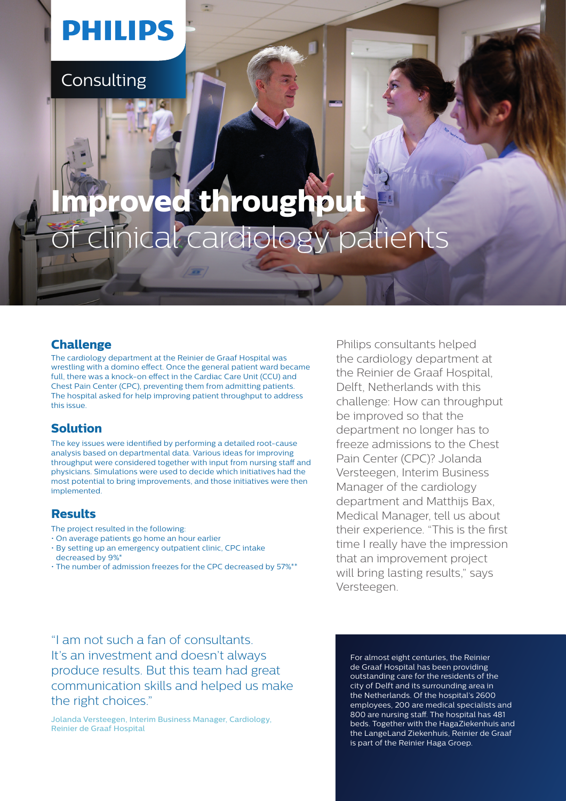## **PHILIPS**

**Consulting** 

# **Improved throughput**  inical cardiology patients

### **Challenge**

The cardiology department at the Reinier de Graaf Hospital was wrestling with a domino effect. Once the general patient ward became full, there was a knock-on effect in the Cardiac Care Unit (CCU) and Chest Pain Center (CPC), preventing them from admitting patients. The hospital asked for help improving patient throughput to address this issue.

## **Solution**

The key issues were identified by performing a detailed root-cause analysis based on departmental data. Various ideas for improving throughput were considered together with input from nursing staff and physicians. Simulations were used to decide which initiatives had the most potential to bring improvements, and those initiatives were then implemented.

## **Results**

- The project resulted in the following:
- On average patients go home an hour earlier
- By setting up an emergency outpatient clinic, CPC intake decreased by 9%\*
- The number of admission freezes for the CPC decreased by 57%\*\*

Philips consultants helped the cardiology department at the Reinier de Graaf Hospital, Delft, Netherlands with this challenge: How can throughput be improved so that the department no longer has to freeze admissions to the Chest Pain Center (CPC)? Jolanda Versteegen, Interim Business Manager of the cardiology department and Matthijs Bax, Medical Manager, tell us about their experience. "This is the first time I really have the impression that an improvement project will bring lasting results," says Versteegen.

"I am not such a fan of consultants. It's an investment and doesn't always produce results. But this team had great communication skills and helped us make the right choices."

Jolanda Versteegen, Interim Business Manager, Cardiology, Reinier de Graaf Hospital

For almost eight centuries, the Reinier de Graaf Hospital has been providing outstanding care for the residents of the city of Delft and its surrounding area in the Netherlands. Of the hospital's 2600 employees, 200 are medical specialists and 800 are nursing staff. The hospital has 481 beds. Together with the HagaZiekenhuis and the LangeLand Ziekenhuis, Reinier de Graaf is part of the Reinier Haga Groep.